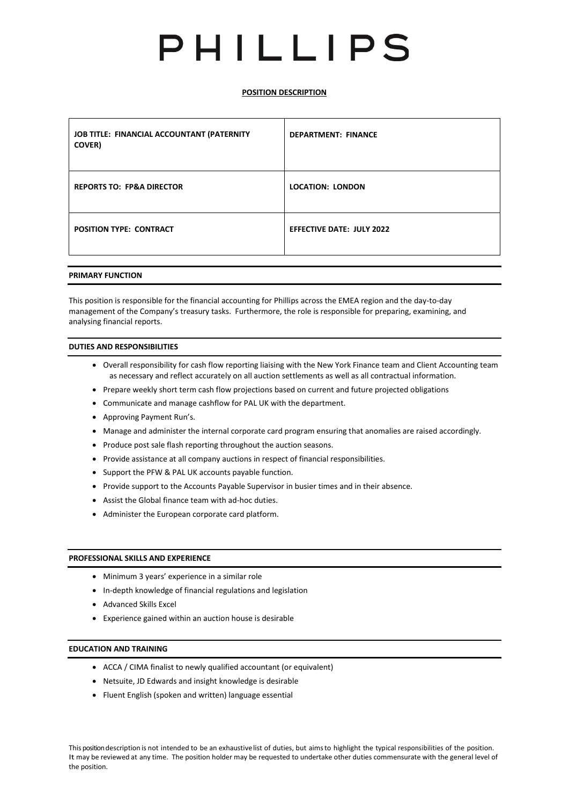# PHILLIPS

# **POSITION DESCRIPTION**

| JOB TITLE: FINANCIAL ACCOUNTANT (PATERNITY<br><b>COVER</b> ) | <b>DEPARTMENT: FINANCE</b>       |
|--------------------------------------------------------------|----------------------------------|
| <b>REPORTS TO: FP&amp;A DIRECTOR</b>                         | <b>LOCATION: LONDON</b>          |
| <b>POSITION TYPE: CONTRACT</b>                               | <b>EFFECTIVE DATE: JULY 2022</b> |

#### **PRIMARY FUNCTION**

This position is responsible for the financial accounting for Phillips across the EMEA region and the day-to-day management of the Company's treasury tasks. Furthermore, the role is responsible for preparing, examining, and analysing financial reports.

# **DUTIES AND RESPONSIBILITIES**

- Overall responsibility for cash flow reporting liaising with the New York Finance team and Client Accounting team as necessary and reflect accurately on all auction settlements as well as all contractual information.
- Prepare weekly short term cash flow projections based on current and future projected obligations
- Communicate and manage cashflow for PAL UK with the department.
- Approving Payment Run's.
- Manage and administer the internal corporate card program ensuring that anomalies are raised accordingly.
- Produce post sale flash reporting throughout the auction seasons.
- Provide assistance at all company auctions in respect of financial responsibilities.
- Support the PFW & PAL UK accounts payable function.
- Provide support to the Accounts Payable Supervisor in busier times and in their absence.
- Assist the Global finance team with ad-hoc duties.
- Administer the European corporate card platform.

# **PROFESSIONAL SKILLS AND EXPERIENCE**

- Minimum 3 years' experience in a similar role
- In-depth knowledge of financial regulations and legislation
- Advanced Skills Excel
- Experience gained within an auction house is desirable

# **EDUCATION AND TRAINING**

- ACCA / CIMA finalist to newly qualified accountant (or equivalent)
- Netsuite, JD Edwards and insight knowledge is desirable
- Fluent English (spoken and written) language essential